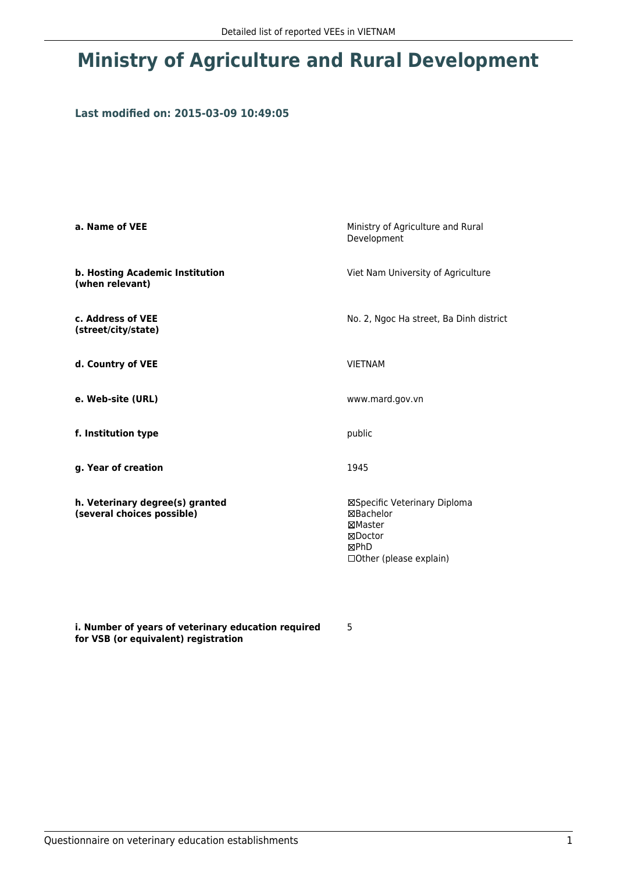## **Ministry of Agriculture and Rural Development**

## **Last modified on: 2015-03-09 10:49:05**

| a. Name of VEE                                                | Ministry of Agriculture and Rural<br>Development                                                         |  |
|---------------------------------------------------------------|----------------------------------------------------------------------------------------------------------|--|
| b. Hosting Academic Institution<br>(when relevant)            | Viet Nam University of Agriculture                                                                       |  |
| c. Address of VEE<br>(street/city/state)                      | No. 2, Ngoc Ha street, Ba Dinh district                                                                  |  |
| d. Country of VEE                                             | <b>VIETNAM</b>                                                                                           |  |
| e. Web-site (URL)                                             | www.mard.gov.vn                                                                                          |  |
| f. Institution type                                           | public                                                                                                   |  |
| g. Year of creation                                           | 1945                                                                                                     |  |
| h. Veterinary degree(s) granted<br>(several choices possible) | ⊠Specific Veterinary Diploma<br>⊠Bachelor<br>⊠Master<br>⊠Doctor<br>⊠PhD<br>$\Box$ Other (please explain) |  |

**i. Number of years of veterinary education required for VSB (or equivalent) registration**

5